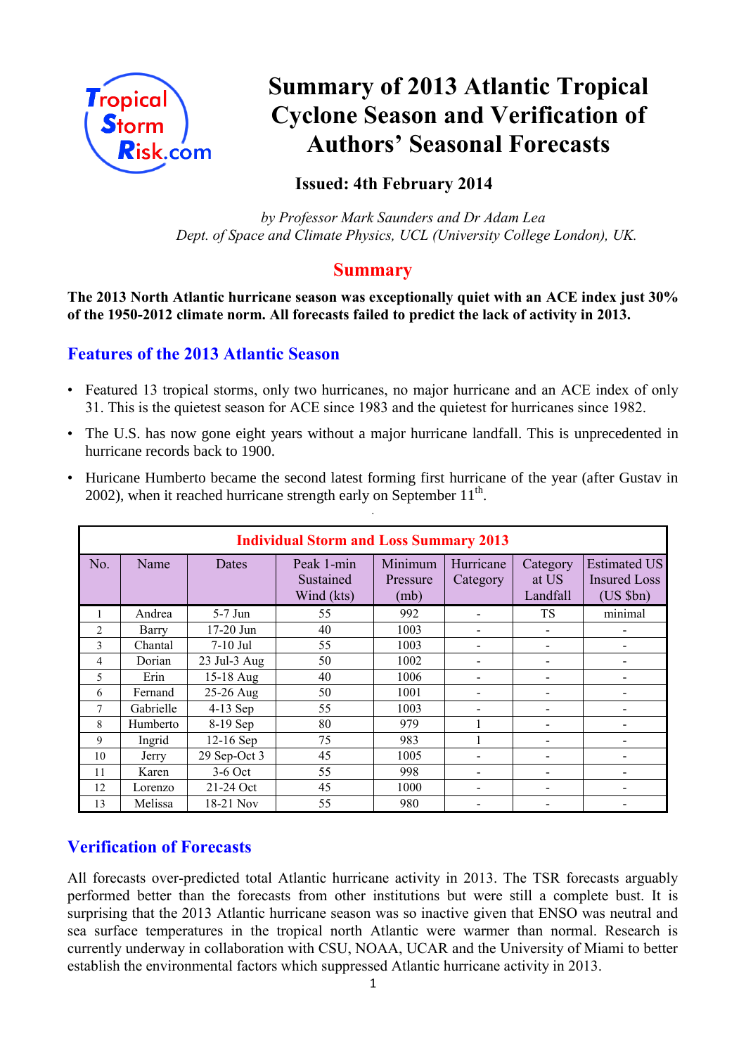

# **Summary of 2013 Atlantic Tropical Cyclone Season and Verification of Authors' Seasonal Forecasts**

## **Issued: 4th February 2014**

 *by Professor Mark Saunders and Dr Adam Lea Dept. of Space and Climate Physics, UCL (University College London), UK.*

#### **Summary**

**The 2013 North Atlantic hurricane season was exceptionally quiet with an ACE index just 30% of the 1950-2012 climate norm. All forecasts failed to predict the lack of activity in 2013.**

## **Features of the 2013 Atlantic Season**

- Featured 13 tropical storms, only two hurricanes, no major hurricane and an ACE index of only 31. This is the quietest season for ACE since 1983 and the quietest for hurricanes since 1982.
- The U.S. has now gone eight years without a major hurricane landfall. This is unprecedented in hurricane records back to 1900.

|                | <b>Individual Storm and Loss Summary 2013</b> |                   |                                       |                             |                       |                               |                                                            |  |  |
|----------------|-----------------------------------------------|-------------------|---------------------------------------|-----------------------------|-----------------------|-------------------------------|------------------------------------------------------------|--|--|
| No.            | Name                                          | Dates             | Peak 1-min<br>Sustained<br>Wind (kts) | Minimum<br>Pressure<br>(mb) | Hurricane<br>Category | Category<br>at US<br>Landfall | <b>Estimated US</b><br><b>Insured Loss</b><br>$(US$ $$bn)$ |  |  |
|                | Andrea                                        | $5-7$ Jun         | 55                                    | 992                         |                       | <b>TS</b>                     | minimal                                                    |  |  |
| $\overline{c}$ | Barry                                         | $17-20$ Jun       | 40                                    | 1003                        |                       |                               |                                                            |  |  |
| 3              | Chantal                                       | $7-10$ Jul        | 55                                    | 1003                        |                       |                               |                                                            |  |  |
| 4              | Dorian                                        | $23$ Jul- $3$ Aug | 50                                    | 1002                        |                       |                               |                                                            |  |  |
| 5              | Erin                                          | 15-18 Aug         | 40                                    | 1006                        |                       |                               |                                                            |  |  |
| 6              | Fernand                                       | 25-26 Aug         | 50                                    | 1001                        |                       |                               |                                                            |  |  |
| 7              | Gabrielle                                     | $4-13$ Sep        | 55                                    | 1003                        |                       |                               |                                                            |  |  |
| 8              | Humberto                                      | 8-19 Sep          | 80                                    | 979                         |                       |                               |                                                            |  |  |
| 9              | Ingrid                                        | $12-16$ Sep       | 75                                    | 983                         |                       |                               |                                                            |  |  |
| 10             | Jerry                                         | 29 Sep-Oct 3      | 45                                    | 1005                        |                       |                               |                                                            |  |  |
| 11             | Karen                                         | $3-6$ Oct         | 55                                    | 998                         |                       |                               |                                                            |  |  |
| 12             | Lorenzo                                       | 21-24 Oct         | 45                                    | 1000                        |                       |                               |                                                            |  |  |
| 13             | Melissa                                       | 18-21 Nov         | 55                                    | 980                         |                       |                               |                                                            |  |  |

• Huricane Humberto became the second latest forming first hurricane of the year (after Gustav in 2002), when it reached hurricane strength early on September  $11<sup>th</sup>$ . .

# **Verification of Forecasts**

All forecasts over-predicted total Atlantic hurricane activity in 2013. The TSR forecasts arguably performed better than the forecasts from other institutions but were still a complete bust. It is surprising that the 2013 Atlantic hurricane season was so inactive given that ENSO was neutral and sea surface temperatures in the tropical north Atlantic were warmer than normal. Research is currently underway in collaboration with CSU, NOAA, UCAR and the University of Miami to better establish the environmental factors which suppressed Atlantic hurricane activity in 2013.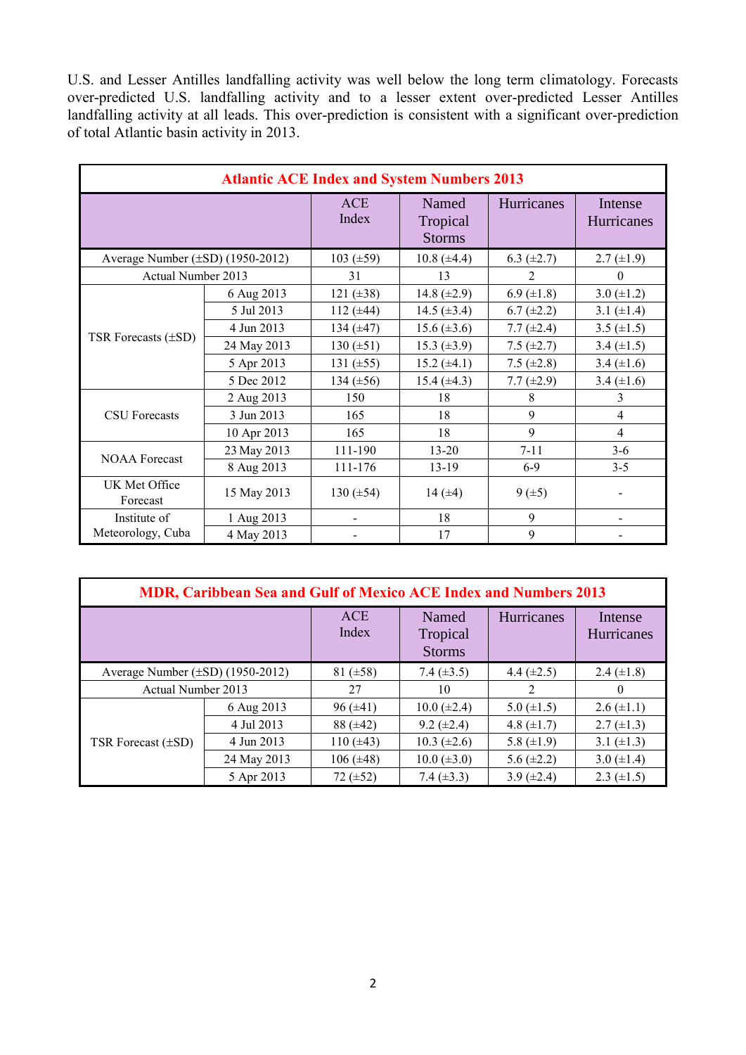U.S. and Lesser Antilles landfalling activity was well below the long term climatology. Forecasts over-predicted U.S. landfalling activity and to a lesser extent over-predicted Lesser Antilles landfalling activity at all leads. This over-prediction is consistent with a significant over-prediction of total Atlantic basin activity in 2013.

| <b>Atlantic ACE Index and System Numbers 2013</b> |             |                     |                                    |                 |                       |  |
|---------------------------------------------------|-------------|---------------------|------------------------------------|-----------------|-----------------------|--|
|                                                   |             | <b>ACE</b><br>Index | Named<br>Tropical<br><b>Storms</b> | Hurricanes      | Intense<br>Hurricanes |  |
| Average Number $(\pm SD)$ (1950-2012)             |             | 103 $(\pm 59)$      | $10.8 (\pm 4.4)$                   | 6.3 $(\pm 2.7)$ | $2.7 \ (\pm 1.9)$     |  |
| Actual Number 2013                                |             | 31                  | 13                                 | $\overline{2}$  | 0                     |  |
|                                                   | 6 Aug 2013  | 121 $(\pm 38)$      | 14.8 $(\pm 2.9)$                   | 6.9 $(\pm 1.8)$ | 3.0 $(\pm 1.2)$       |  |
|                                                   | 5 Jul 2013  | 112 $(\pm 44)$      | 14.5 $(\pm 3.4)$                   | $6.7 (\pm 2.2)$ | 3.1 $(\pm 1.4)$       |  |
|                                                   | 4 Jun 2013  | 134 $(\pm 47)$      | $15.6 (\pm 3.6)$                   | 7.7 $(\pm 2.4)$ | 3.5 $(\pm 1.5)$       |  |
| TSR Forecasts $(\pm SD)$                          | 24 May 2013 | 130 $(\pm 51)$      | 15.3 $(\pm 3.9)$                   | 7.5 $(\pm 2.7)$ | 3.4 $(\pm 1.5)$       |  |
|                                                   | 5 Apr 2013  | 131 $(\pm 55)$      | 15.2 $(\pm 4.1)$                   | 7.5 $(\pm 2.8)$ | 3.4 $(\pm 1.6)$       |  |
|                                                   | 5 Dec 2012  | 134 $(\pm 56)$      | 15.4 $(\pm 4.3)$                   | 7.7 $(\pm 2.9)$ | 3.4 $(\pm 1.6)$       |  |
|                                                   | 2 Aug 2013  | 150                 | 18                                 | 8               | 3                     |  |
| <b>CSU</b> Forecasts                              | 3 Jun 2013  | 165                 | 18                                 | 9               | 4                     |  |
|                                                   | 10 Apr 2013 | 165                 | 18                                 | $\mathbf Q$     | 4                     |  |
|                                                   | 23 May 2013 | 111-190             | $13 - 20$                          | $7 - 11$        | $3-6$                 |  |
| <b>NOAA Forecast</b>                              | 8 Aug 2013  | 111-176             | $13-19$                            | $6-9$           | $3 - 5$               |  |
| UK Met Office<br>Forecast                         | 15 May 2013 | 130 $(\pm 54)$      | 14 $(±4)$                          | $9 (+5)$        |                       |  |
| Institute of                                      | 1 Aug 2013  |                     | 18                                 | 9               |                       |  |
| Meteorology, Cuba                                 | 4 May 2013  |                     | 17                                 | 9               |                       |  |

| MDR, Caribbean Sea and Gulf of Mexico ACE Index and Numbers 2013 |             |                     |                                    |                 |                              |  |
|------------------------------------------------------------------|-------------|---------------------|------------------------------------|-----------------|------------------------------|--|
|                                                                  |             | <b>ACE</b><br>Index | Named<br>Tropical<br><b>Storms</b> | Hurricanes      | Intense<br><b>Hurricanes</b> |  |
| Average Number $(\pm SD)$ (1950-2012)                            |             | 81 $(\pm 58)$       | 7.4 $(\pm 3.5)$                    | 4.4 $(\pm 2.5)$ | 2.4 $(\pm 1.8)$              |  |
| Actual Number 2013                                               |             | 27                  | 10                                 |                 | $\Omega$                     |  |
| TSR Forecast $(\pm SD)$                                          | 6 Aug 2013  | $96 (\pm 41)$       | $10.0 (\pm 2.4)$                   | 5.0 $(\pm 1.5)$ | $2.6 \ (\pm 1.1)$            |  |
|                                                                  | 4 Jul 2013  | $88 (\pm 42)$       | $9.2 \ (\pm 2.4)$                  | 4.8 $(\pm 1.7)$ | $2.7 \ (\pm 1.3)$            |  |
|                                                                  | 4 Jun 2013  | 110 $(\pm 43)$      | $10.3 \ (\pm 2.6)$                 | 5.8 $(\pm 1.9)$ | 3.1 $(\pm 1.3)$              |  |
|                                                                  | 24 May 2013 | $106 (\pm 48)$      | $10.0 (\pm 3.0)$                   | 5.6 $(\pm 2.2)$ | 3.0 $(\pm 1.4)$              |  |
|                                                                  | 5 Apr 2013  | $72 (\pm 52)$       | 7.4 $(\pm 3.3)$                    | 3.9 $(\pm 2.4)$ | $2.3 \ (\pm 1.5)$            |  |